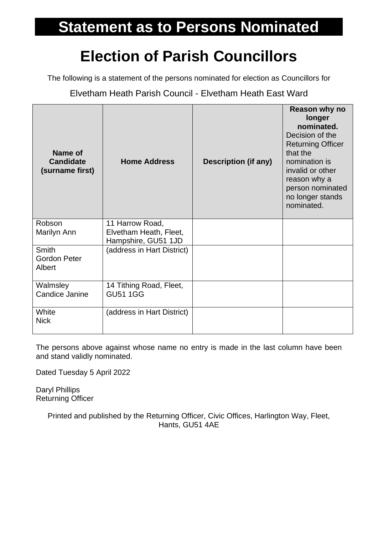## **Statement as to Persons Nominated**

## **Election of Parish Councillors**

The following is a statement of the persons nominated for election as Councillors for

Elvetham Heath Parish Council - Elvetham Heath East Ward

| Name of<br><b>Candidate</b><br>(surname first) | <b>Home Address</b>                                              | <b>Description (if any)</b> | Reason why no<br>longer<br>nominated.<br>Decision of the<br><b>Returning Officer</b><br>that the<br>nomination is<br>invalid or other<br>reason why a<br>person nominated<br>no longer stands<br>nominated. |
|------------------------------------------------|------------------------------------------------------------------|-----------------------------|-------------------------------------------------------------------------------------------------------------------------------------------------------------------------------------------------------------|
| Robson<br>Marilyn Ann                          | 11 Harrow Road,<br>Elvetham Heath, Fleet,<br>Hampshire, GU51 1JD |                             |                                                                                                                                                                                                             |
| <b>Smith</b><br><b>Gordon Peter</b><br>Albert  | (address in Hart District)                                       |                             |                                                                                                                                                                                                             |
| Walmsley<br>Candice Janine                     | 14 Tithing Road, Fleet,<br><b>GU51 1GG</b>                       |                             |                                                                                                                                                                                                             |
| White<br><b>Nick</b>                           | (address in Hart District)                                       |                             |                                                                                                                                                                                                             |

The persons above against whose name no entry is made in the last column have been and stand validly nominated.

Dated Tuesday 5 April 2022

Daryl Phillips Returning Officer

> Printed and published by the Returning Officer, Civic Offices, Harlington Way, Fleet, Hants, GU51 4AE